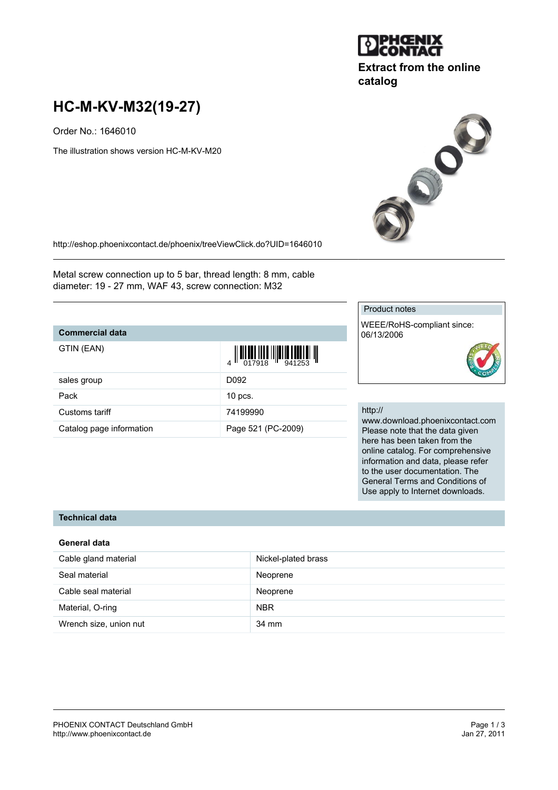

# **Extract from the online catalog**

# **HC-M-KV-M32(19-27)**

Order No.: 1646010

The illustration shows version HC-M-KV-M20



<http://eshop.phoenixcontact.de/phoenix/treeViewClick.do?UID=1646010>

Metal screw connection up to 5 bar, thread length: 8 mm, cable diameter: 19 - 27 mm, WAF 43, screw connection: M32

Catalog page information Page 521 (PC-2009)

# **Commercial data**

| GTIN (EAN)     | $\begin{array}{c} \begin{array}{c} \begin{array}{c} \end{array}\\ \begin{array}{c} \end{array}\\ \begin{array}{c} \end{array}\\ \begin{array}{c} \end{array}\\ \begin{array}{c} \end{array}\\ \begin{array}{c} \end{array}\\ \begin{array}{c} \end{array}\\ \begin{array}{c} \end{array}\\ \begin{array}{c} \end{array}\\ \begin{array}{c} \end{array}\\ \begin{array}{c} \end{array}\\ \begin{array}{c} \end{array}\\ \begin{array}{c} \end{array}\\ \begin{array}{c} \end{array}\\ \begin{array}{c} \end{array}\\ \begin{array}{c} \end{array}\\ \begin{array}{c} \end{array}\\ \begin$ |
|----------------|-------------------------------------------------------------------------------------------------------------------------------------------------------------------------------------------------------------------------------------------------------------------------------------------------------------------------------------------------------------------------------------------------------------------------------------------------------------------------------------------------------------------------------------------------------------------------------------------|
| sales group    | D092                                                                                                                                                                                                                                                                                                                                                                                                                                                                                                                                                                                      |
| Pack           | $10$ pcs.                                                                                                                                                                                                                                                                                                                                                                                                                                                                                                                                                                                 |
| Customs tariff | 74199990                                                                                                                                                                                                                                                                                                                                                                                                                                                                                                                                                                                  |

#### Product notes

WEEE/RoHS-compliant since: 06/13/2006

#### http://

www.download.phoenixcontact.com Please note that the data given here has been taken from the online catalog. For comprehensive information and data, please refer to the user documentation. The General Terms and Conditions of Use apply to Internet downloads.

# **Technical data**

## **General data**

| Cable gland material   | Nickel-plated brass |
|------------------------|---------------------|
| Seal material          | Neoprene            |
| Cable seal material    | Neoprene            |
| Material, O-ring       | <b>NBR</b>          |
| Wrench size, union nut | 34 mm               |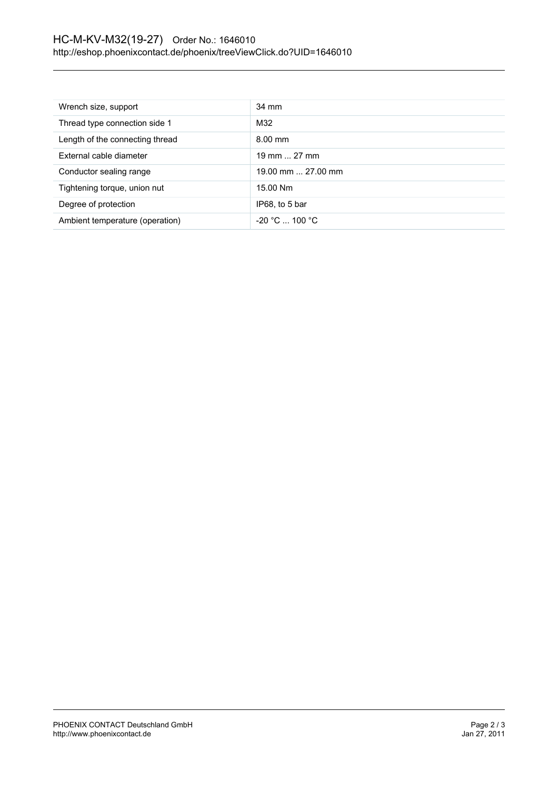| Wrench size, support            | 34 mm              |
|---------------------------------|--------------------|
| Thread type connection side 1   | M32                |
| Length of the connecting thread | $8.00$ mm          |
| External cable diameter         | 19 mm  27 mm       |
| Conductor sealing range         | 19.00 mm  27.00 mm |
| Tightening torque, union nut    | 15.00 Nm           |
| Degree of protection            | IP68, to 5 bar     |
| Ambient temperature (operation) | $-20 °C  100 °C$   |